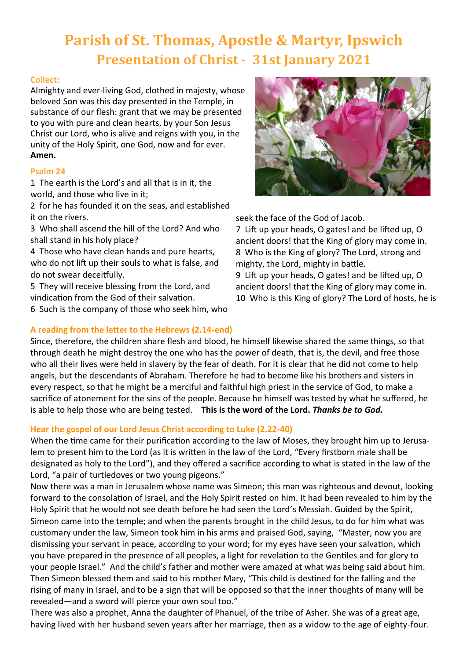# **Parish of St. Thomas, Apostle & Martyr, Ipswich Presentation of Christ - 31st January 2021**

# **Collect:**

Almighty and ever-living God, clothed in majesty, whose beloved Son was this day presented in the Temple, in substance of our flesh: grant that we may be presented to you with pure and clean hearts, by your Son Jesus Christ our Lord, who is alive and reigns with you, in the unity of the Holy Spirit, one God, now and for ever. **Amen.**

### **Psalm 24**

1 The earth is the Lord's and all that is in it, the world, and those who live in it;

2 for he has founded it on the seas, and established it on the rivers.

3 Who shall ascend the hill of the Lord? And who shall stand in his holy place?

4 Those who have clean hands and pure hearts, who do not lift up their souls to what is false, and do not swear deceitfully.

5 They will receive blessing from the Lord, and vindication from the God of their salvation.

6 Such is the company of those who seek him, who



seek the face of the God of Jacob.

7 Lift up your heads, O gates! and be lifted up, O ancient doors! that the King of glory may come in. 8 Who is the King of glory? The Lord, strong and mighty, the Lord, mighty in battle. 9 Lift up your heads, O gates! and be lifted up, O

ancient doors! that the King of glory may come in. 10 Who is this King of glory? The Lord of hosts, he is

# **A reading from the letter to the Hebrews (2.14-end)**

Since, therefore, the children share flesh and blood, he himself likewise shared the same things, so that through death he might destroy the one who has the power of death, that is, the devil, and free those who all their lives were held in slavery by the fear of death. For it is clear that he did not come to help angels, but the descendants of Abraham. Therefore he had to become like his brothers and sisters in every respect, so that he might be a merciful and faithful high priest in the service of God, to make a sacrifice of atonement for the sins of the people. Because he himself was tested by what he suffered, he is able to help those who are being tested. **This is the word of the Lord.** *Thanks be to God.*

# **Hear the gospel of our Lord Jesus Christ according to Luke (2.22-40)**

When the time came for their purification according to the law of Moses, they brought him up to Jerusalem to present him to the Lord (as it is written in the law of the Lord, "Every firstborn male shall be designated as holy to the Lord"), and they offered a sacrifice according to what is stated in the law of the Lord, "a pair of turtledoves or two young pigeons."

Now there was a man in Jerusalem whose name was Simeon; this man was righteous and devout, looking forward to the consolation of Israel, and the Holy Spirit rested on him. It had been revealed to him by the Holy Spirit that he would not see death before he had seen the Lord's Messiah. Guided by the Spirit, Simeon came into the temple; and when the parents brought in the child Jesus, to do for him what was customary under the law, Simeon took him in his arms and praised God, saying, "Master, now you are dismissing your servant in peace, according to your word; for my eyes have seen your salvation, which you have prepared in the presence of all peoples, a light for revelation to the Gentiles and for glory to your people Israel." And the child's father and mother were amazed at what was being said about him. Then Simeon blessed them and said to his mother Mary, "This child is destined for the falling and the rising of many in Israel, and to be a sign that will be opposed so that the inner thoughts of many will be revealed—and a sword will pierce your own soul too."

There was also a prophet, Anna the daughter of Phanuel, of the tribe of Asher. She was of a great age, having lived with her husband seven years after her marriage, then as a widow to the age of eighty-four.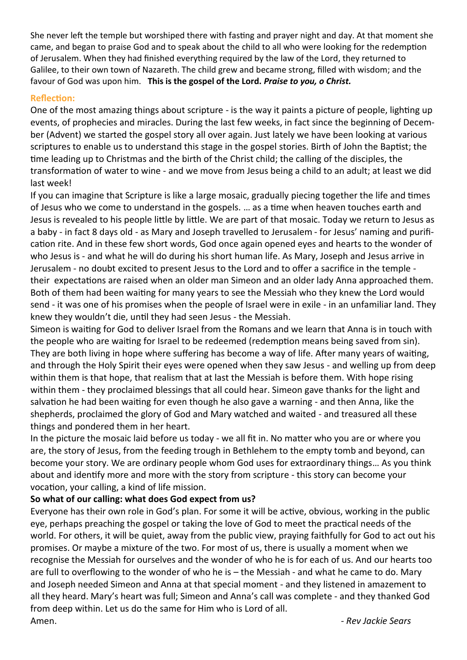She never left the temple but worshiped there with fasting and prayer night and day. At that moment she came, and began to praise God and to speak about the child to all who were looking for the redemption of Jerusalem. When they had finished everything required by the law of the Lord, they returned to Galilee, to their own town of Nazareth. The child grew and became strong, filled with wisdom; and the favour of God was upon him. **This is the gospel of the Lord.** *Praise to you, o Christ.*

# **Reflection:**

One of the most amazing things about scripture - is the way it paints a picture of people, lighting up events, of prophecies and miracles. During the last few weeks, in fact since the beginning of December (Advent) we started the gospel story all over again. Just lately we have been looking at various scriptures to enable us to understand this stage in the gospel stories. Birth of John the Baptist; the time leading up to Christmas and the birth of the Christ child; the calling of the disciples, the transformation of water to wine - and we move from Jesus being a child to an adult; at least we did last week!

If you can imagine that Scripture is like a large mosaic, gradually piecing together the life and times of Jesus who we come to understand in the gospels. … as a time when heaven touches earth and Jesus is revealed to his people little by little. We are part of that mosaic. Today we return to Jesus as a baby - in fact 8 days old - as Mary and Joseph travelled to Jerusalem - for Jesus' naming and purification rite. And in these few short words, God once again opened eyes and hearts to the wonder of who Jesus is - and what he will do during his short human life. As Mary, Joseph and Jesus arrive in Jerusalem - no doubt excited to present Jesus to the Lord and to offer a sacrifice in the temple their expectations are raised when an older man Simeon and an older lady Anna approached them. Both of them had been waiting for many years to see the Messiah who they knew the Lord would send - it was one of his promises when the people of Israel were in exile - in an unfamiliar land. They knew they wouldn't die, until they had seen Jesus - the Messiah.

Simeon is waiting for God to deliver Israel from the Romans and we learn that Anna is in touch with the people who are waiting for Israel to be redeemed (redemption means being saved from sin). They are both living in hope where suffering has become a way of life. After many years of waiting, and through the Holy Spirit their eyes were opened when they saw Jesus - and welling up from deep within them is that hope, that realism that at last the Messiah is before them. With hope rising within them - they proclaimed blessings that all could hear. Simeon gave thanks for the light and salvation he had been waiting for even though he also gave a warning - and then Anna, like the shepherds, proclaimed the glory of God and Mary watched and waited - and treasured all these things and pondered them in her heart.

In the picture the mosaic laid before us today - we all fit in. No matter who you are or where you are, the story of Jesus, from the feeding trough in Bethlehem to the empty tomb and beyond, can become your story. We are ordinary people whom God uses for extraordinary things… As you think about and identify more and more with the story from scripture - this story can become your vocation, your calling, a kind of life mission.

# **So what of our calling: what does God expect from us?**

Everyone has their own role in God's plan. For some it will be active, obvious, working in the public eye, perhaps preaching the gospel or taking the love of God to meet the practical needs of the world. For others, it will be quiet, away from the public view, praying faithfully for God to act out his promises. Or maybe a mixture of the two. For most of us, there is usually a moment when we recognise the Messiah for ourselves and the wonder of who he is for each of us. And our hearts too are full to overflowing to the wonder of who he is – the Messiah - and what he came to do. Mary and Joseph needed Simeon and Anna at that special moment - and they listened in amazement to all they heard. Mary's heart was full; Simeon and Anna's call was complete - and they thanked God from deep within. Let us do the same for Him who is Lord of all. Amen. *- Rev Jackie Sears*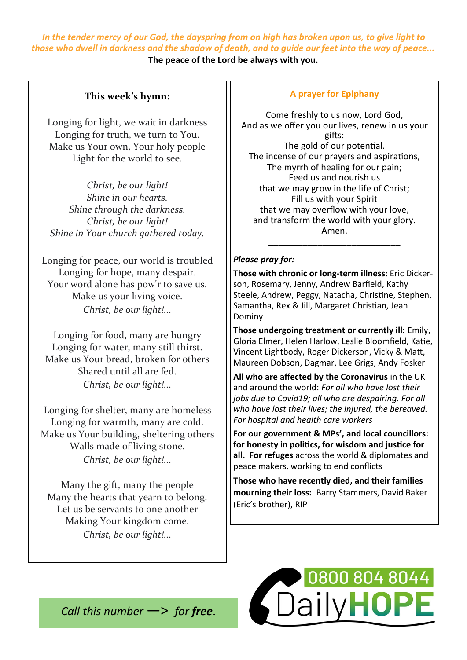### *In the tender mercy of our God, the dayspring from on high has broken upon us, to give light to those who dwell in darkness and the shadow of death, and to guide our feet into the way of peace...* **The peace of the Lord be always with you.**

# **This week's hymn:**

Longing for light, we wait in darkness Longing for truth, we turn to You. Make us Your own, Your holy people Light for the world to see.

*Christ, be our light! Shine in our hearts. Shine through the darkness. Christ, be our light! Shine in Your church gathered today.*

Longing for peace, our world is troubled Longing for hope, many despair. Your word alone has pow'r to save us. Make us your living voice. *Christ, be our light!...*

Longing for food, many are hungry Longing for water, many still thirst. Make us Your bread, broken for others Shared until all are fed. *Christ, be our light!...*

Longing for shelter, many are homeless Longing for warmth, many are cold. Make us Your building, sheltering others Walls made of living stone. *Christ, be our light!...*

Many the gift, many the people Many the hearts that yearn to belong. Let us be servants to one another Making Your kingdom come. *Christ, be our light!...*

#### **A prayer for Epiphany**

Come freshly to us now, Lord God, And as we offer you our lives, renew in us your gifts: The gold of our potential. The incense of our prayers and aspirations, The myrrh of healing for our pain; Feed us and nourish us that we may grow in the life of Christ; Fill us with your Spirit that we may overflow with your love, and transform the world with your glory. Amen.

#### *Please pray for:*

**Those with chronic or long-term illness:** Eric Dickerson, Rosemary, Jenny, Andrew Barfield, Kathy Steele, Andrew, Peggy, Natacha, Christine, Stephen, Samantha, Rex & Jill, Margaret Christian, Jean Dominy

**\_\_\_\_\_\_\_\_\_\_\_\_\_\_\_\_\_\_\_\_\_\_\_\_\_\_\_**

**Those undergoing treatment or currently ill:** Emily, Gloria Elmer, Helen Harlow, Leslie Bloomfield, Katie, Vincent Lightbody, Roger Dickerson, Vicky & Matt, Maureen Dobson, Dagmar, Lee Grigs, Andy Fosker

**All who are affected by the Coronavirus** in the UK and around the world: *For all who have lost their jobs due to Covid19; all who are despairing. For all who have lost their lives; the injured, the bereaved. For hospital and health care workers*

**For our government & MPs', and local councillors: for honesty in politics, for wisdom and justice for all. For refuges** across the world & diplomates and peace makers, working to end conflicts

**Those who have recently died, and their families mourning their loss:** Barry Stammers, David Baker (Eric's brother), RIP

*Call this number* —> *for free*.